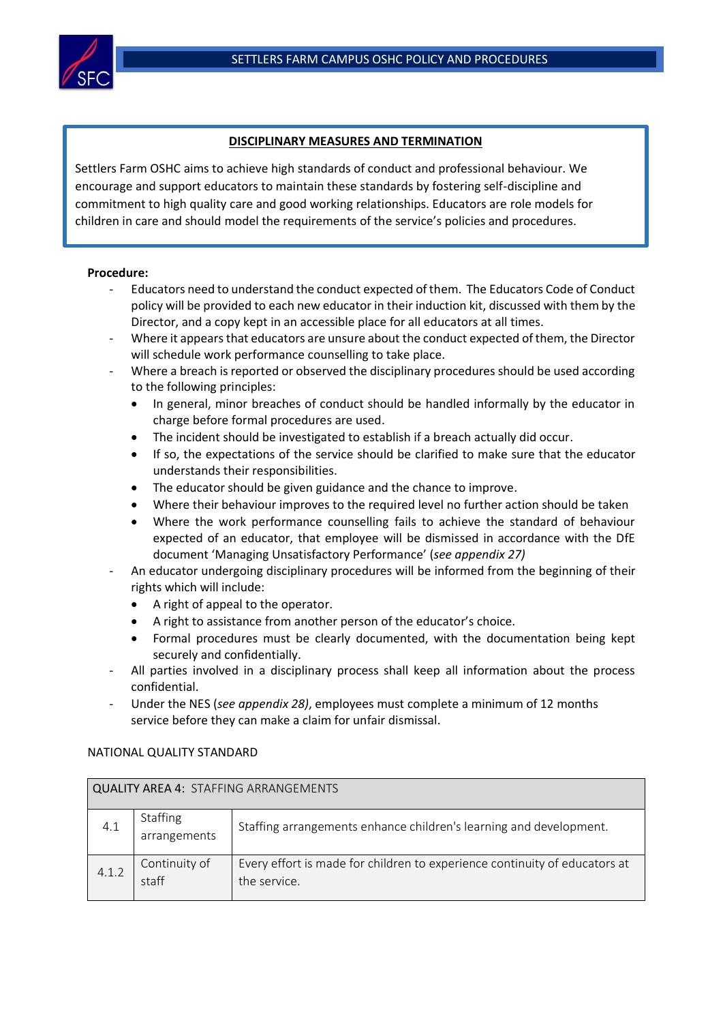

## **DISCIPLINARY MEASURES AND TERMINATION**

Settlers Farm OSHC aims to achieve high standards of conduct and professional behaviour. We encourage and support educators to maintain these standards by fostering self-discipline and commitment to high quality care and good working relationships. Educators are role models for children in care and should model the requirements of the service's policies and procedures.

## **Procedure:**

- Educators need to understand the conduct expected of them. The Educators Code of Conduct policy will be provided to each new educator in their induction kit, discussed with them by the Director, and a copy kept in an accessible place for all educators at all times.
- Where it appears that educators are unsure about the conduct expected of them, the Director will schedule work performance counselling to take place.
- Where a breach is reported or observed the disciplinary procedures should be used according to the following principles:
	- In general, minor breaches of conduct should be handled informally by the educator in charge before formal procedures are used.
	- The incident should be investigated to establish if a breach actually did occur.
	- If so, the expectations of the service should be clarified to make sure that the educator understands their responsibilities.
	- The educator should be given guidance and the chance to improve.
	- Where their behaviour improves to the required level no further action should be taken
	- Where the work performance counselling fails to achieve the standard of behaviour expected of an educator, that employee will be dismissed in accordance with the DfE document 'Managing Unsatisfactory Performance' (*see appendix 27)*
- An educator undergoing disciplinary procedures will be informed from the beginning of their rights which will include:
	- A right of appeal to the operator.
	- A right to assistance from another person of the educator's choice.
	- Formal procedures must be clearly documented, with the documentation being kept securely and confidentially.
- All parties involved in a disciplinary process shall keep all information about the process confidential.
- Under the NES (*see appendix 28)*, employees must complete a minimum of 12 months service before they can make a claim for unfair dismissal.

## NATIONAL QUALITY STANDARD

| QUALITY AREA 4: STAFFING ARRANGEMENTS |                                 |                                                                                            |  |  |
|---------------------------------------|---------------------------------|--------------------------------------------------------------------------------------------|--|--|
| 4.1                                   | <b>Staffing</b><br>arrangements | Staffing arrangements enhance children's learning and development.                         |  |  |
| 4.1.2                                 | Continuity of<br>staff          | Every effort is made for children to experience continuity of educators at<br>the service. |  |  |